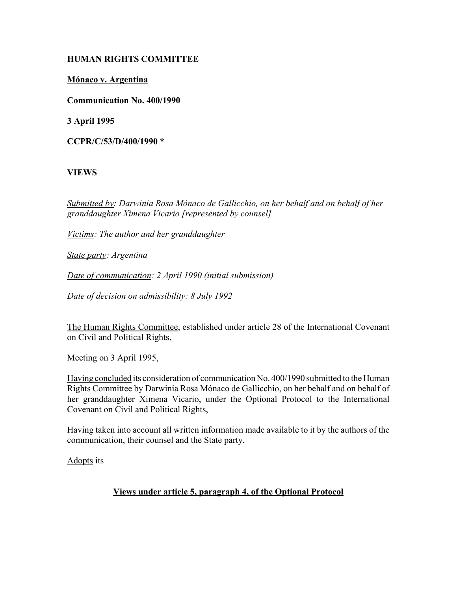## **HUMAN RIGHTS COMMITTEE**

# **MÛnaco v. Argentina**

**Communication No. 400/1990**

**3 April 1995**

**CCPR/C/53/D/400/1990 \***

# **VIEWS**

*Submitted by: Darwinia Rosa MÛnaco de Gallicchio, on her behalf and on behalf of her granddaughter Ximena Vicario [represented by counsel]*

*Victims: The author and her granddaughter*

*State party: Argentina*

*Date of communication: 2 April 1990 (initial submission)*

*Date of decision on admissibility: 8 July 1992*

The Human Rights Committee, established under article 28 of the International Covenant on Civil and Political Rights,

Meeting on 3 April 1995,

Having concluded its consideration of communication No. 400/1990 submitted to the Human Rights Committee by Darwinia Rosa Mónaco de Gallicchio, on her behalf and on behalf of her granddaughter Ximena Vicario, under the Optional Protocol to the International Covenant on Civil and Political Rights,

Having taken into account all written information made available to it by the authors of the communication, their counsel and the State party,

Adopts its

## **Views under article 5, paragraph 4, of the Optional Protocol**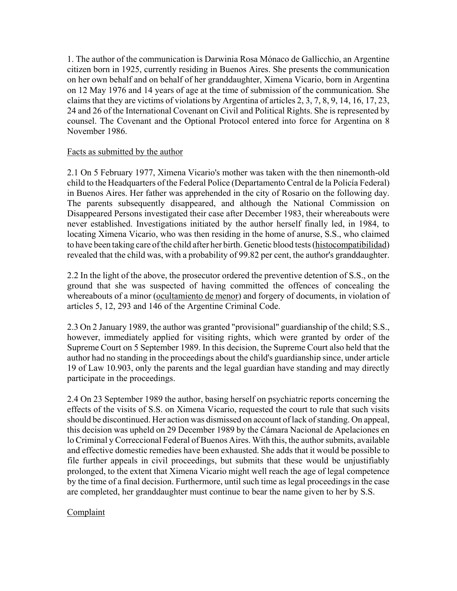1. The author of the communication is Darwinia Rosa Mónaco de Gallicchio, an Argentine citizen born in 1925, currently residing in Buenos Aires. She presents the communication on her own behalf and on behalf of her granddaughter, Ximena Vicario, born in Argentina on 12 May 1976 and 14 years of age at the time of submission of the communication. She claims that they are victims of violations by Argentina of articles 2, 3, 7, 8, 9, 14, 16, 17, 23, 24 and 26 of the International Covenant on Civil and Political Rights. She is represented by counsel. The Covenant and the Optional Protocol entered into force for Argentina on 8 November 1986.

#### Facts as submitted by the author

2.1 On 5 February 1977, Ximena Vicario's mother was taken with the then ninemonth-old child to the Headquarters of the Federal Police (Departamento Central de la Policía Federal) in Buenos Aires. Her father was apprehended in the city of Rosario on the following day. The parents subsequently disappeared, and although the National Commission on Disappeared Persons investigated their case after December 1983, their whereabouts were never established. Investigations initiated by the author herself finally led, in 1984, to locating Ximena Vicario, who was then residing in the home of anurse, S.S., who claimed to have been taking care of the child after her birth. Genetic blood tests (histocompatibilidad) revealed that the child was, with a probability of 99.82 per cent, the author's granddaughter.

2.2 In the light of the above, the prosecutor ordered the preventive detention of S.S., on the ground that she was suspected of having committed the offences of concealing the whereabouts of a minor (ocultamiento de menor) and forgery of documents, in violation of articles 5, 12, 293 and 146 of the Argentine Criminal Code.

2.3 On 2 January 1989, the author was granted "provisional" guardianship of the child; S.S., however, immediately applied for visiting rights, which were granted by order of the Supreme Court on 5 September 1989. In this decision, the Supreme Court also held that the author had no standing in the proceedings about the child's guardianship since, under article 19 of Law 10.903, only the parents and the legal guardian have standing and may directly participate in the proceedings.

2.4 On 23 September 1989 the author, basing herself on psychiatric reports concerning the effects of the visits of S.S. on Ximena Vicario, requested the court to rule that such visits should be discontinued. Her action was dismissed on account of lack of standing. On appeal, this decision was upheld on 29 December 1989 by the Cámara Nacional de Apelaciones en lo Criminal y Correccional Federal of Buenos Aires. With this, the author submits, available and effective domestic remedies have been exhausted. She adds that it would be possible to file further appeals in civil proceedings, but submits that these would be unjustifiably prolonged, to the extent that Ximena Vicario might well reach the age of legal competence by the time of a final decision. Furthermore, until such time as legal proceedings in the case are completed, her granddaughter must continue to bear the name given to her by S.S.

# **Complaint**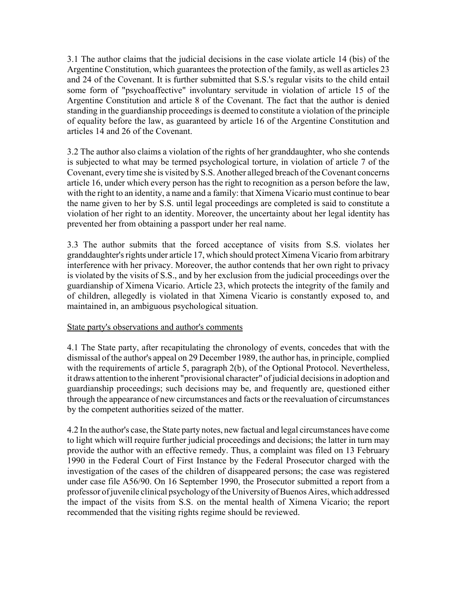3.1 The author claims that the judicial decisions in the case violate article 14 (bis) of the Argentine Constitution, which guarantees the protection of the family, as well as articles 23 and 24 of the Covenant. It is further submitted that S.S.'s regular visits to the child entail some form of "psychoaffective" involuntary servitude in violation of article 15 of the Argentine Constitution and article 8 of the Covenant. The fact that the author is denied standing in the guardianship proceedings is deemed to constitute a violation of the principle of equality before the law, as guaranteed by article 16 of the Argentine Constitution and articles 14 and 26 of the Covenant.

3.2 The author also claims a violation of the rights of her granddaughter, who she contends is subjected to what may be termed psychological torture, in violation of article 7 of the Covenant, every time she is visited by S.S. Another alleged breach of the Covenant concerns article 16, under which every person has the right to recognition as a person before the law, with the right to an identity, a name and a family: that Ximena Vicario must continue to bear the name given to her by S.S. until legal proceedings are completed is said to constitute a violation of her right to an identity. Moreover, the uncertainty about her legal identity has prevented her from obtaining a passport under her real name.

3.3 The author submits that the forced acceptance of visits from S.S. violates her granddaughter's rights under article 17, which should protect Ximena Vicario from arbitrary interference with her privacy. Moreover, the author contends that her own right to privacy is violated by the visits of S.S., and by her exclusion from the judicial proceedings over the guardianship of Ximena Vicario. Article 23, which protects the integrity of the family and of children, allegedly is violated in that Ximena Vicario is constantly exposed to, and maintained in, an ambiguous psychological situation.

## State party's observations and author's comments

4.1 The State party, after recapitulating the chronology of events, concedes that with the dismissal of the author's appeal on 29 December 1989, the author has, in principle, complied with the requirements of article 5, paragraph 2(b), of the Optional Protocol. Nevertheless, it draws attention to the inherent "provisional character" of judicial decisions in adoption and guardianship proceedings; such decisions may be, and frequently are, questioned either through the appearance of new circumstances and facts or the reevaluation of circumstances by the competent authorities seized of the matter.

4.2 In the author's case, the State party notes, new factual and legal circumstances have come to light which will require further judicial proceedings and decisions; the latter in turn may provide the author with an effective remedy. Thus, a complaint was filed on 13 February 1990 in the Federal Court of First Instance by the Federal Prosecutor charged with the investigation of the cases of the children of disappeared persons; the case was registered under case file A56/90. On 16 September 1990, the Prosecutor submitted a report from a professor of juvenile clinical psychology of the University of Buenos Aires, which addressed the impact of the visits from S.S. on the mental health of Ximena Vicario; the report recommended that the visiting rights regime should be reviewed.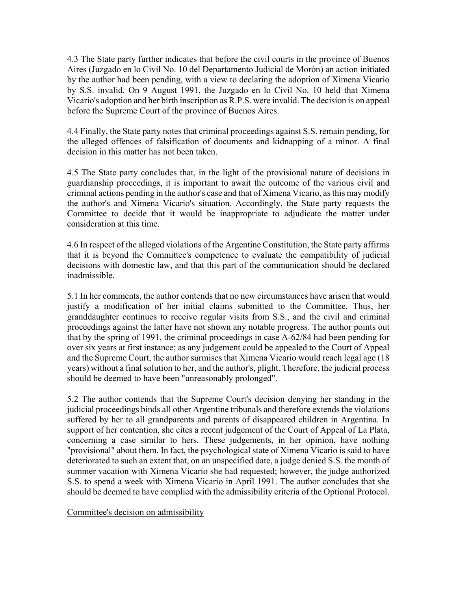4.3 The State party further indicates that before the civil courts in the province of Buenos Aires (Juzgado en lo Civil No. 10 del Departamento Judicial de Morón) an action initiated by the author had been pending, with a view to declaring the adoption of Ximena Vicario by S.S. invalid. On 9 August 1991, the Juzgado en lo Civil No. 10 held that Ximena Vicario's adoption and her birth inscription as R.P.S. were invalid. The decision is on appeal before the Supreme Court of the province of Buenos Aires.

4.4 Finally, the State party notes that criminal proceedings against S.S. remain pending, for the alleged offences of falsification of documents and kidnapping of a minor. A final decision in this matter has not been taken.

4.5 The State party concludes that, in the light of the provisional nature of decisions in guardianship proceedings, it is important to await the outcome of the various civil and criminal actions pending in the author's case and that of Ximena Vicario, as this may modify the author's and Ximena Vicario's situation. Accordingly, the State party requests the Committee to decide that it would be inappropriate to adjudicate the matter under consideration at this time.

4.6 In respect of the alleged violations of the Argentine Constitution, the State party affirms that it is beyond the Committee's competence to evaluate the compatibility of judicial decisions with domestic law, and that this part of the communication should be declared inadmissible.

5.1 In her comments, the author contends that no new circumstances have arisen that would justify a modification of her initial claims submitted to the Committee. Thus, her granddaughter continues to receive regular visits from S.S., and the civil and criminal proceedings against the latter have not shown any notable progress. The author points out that by the spring of 1991, the criminal proceedings in case A-62/84 had been pending for over six years at first instance; as any judgement could be appealed to the Court of Appeal and the Supreme Court, the author surmises that Ximena Vicario would reach legal age (18 years) without a final solution to her, and the author's, plight. Therefore, the judicial process should be deemed to have been "unreasonably prolonged".

5.2 The author contends that the Supreme Court's decision denying her standing in the judicial proceedings binds all other Argentine tribunals and therefore extends the violations suffered by her to all grandparents and parents of disappeared children in Argentina. In support of her contention, she cites a recent judgement of the Court of Appeal of La Plata, concerning a case similar to hers. These judgements, in her opinion, have nothing "provisional" about them. In fact, the psychological state of Ximena Vicario is said to have deteriorated to such an extent that, on an unspecified date, a judge denied S.S. the month of summer vacation with Ximena Vicario she had requested; however, the judge authorized S.S. to spend a week with Ximena Vicario in April 1991. The author concludes that she should be deemed to have complied with the admissibility criteria of the Optional Protocol.

Committee's decision on admissibility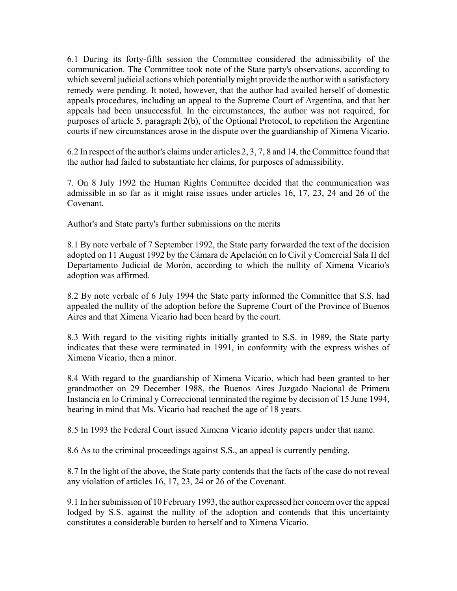6.1 During its forty-fifth session the Committee considered the admissibility of the communication. The Committee took note of the State party's observations, according to which several judicial actions which potentially might provide the author with a satisfactory remedy were pending. It noted, however, that the author had availed herself of domestic appeals procedures, including an appeal to the Supreme Court of Argentina, and that her appeals had been unsuccessful. In the circumstances, the author was not required, for purposes of article 5, paragraph 2(b), of the Optional Protocol, to repetition the Argentine courts if new circumstances arose in the dispute over the guardianship of Ximena Vicario.

6.2 In respect of the author's claims under articles 2, 3, 7, 8 and 14, the Committee found that the author had failed to substantiate her claims, for purposes of admissibility.

7. On 8 July 1992 the Human Rights Committee decided that the communication was admissible in so far as it might raise issues under articles 16, 17, 23, 24 and 26 of the Covenant.

#### Author's and State party's further submissions on the merits

8.1 By note verbale of 7 September 1992, the State party forwarded the text of the decision adopted on 11 August 1992 by the Cámara de Apelación en lo Civil y Comercial Sala II del Departamento Judicial de Morón, according to which the nullity of Ximena Vicario's adoption was affirmed.

8.2 By note verbale of 6 July 1994 the State party informed the Committee that S.S. had appealed the nullity of the adoption before the Supreme Court of the Province of Buenos Aires and that Ximena Vicario had been heard by the court.

8.3 With regard to the visiting rights initially granted to S.S. in 1989, the State party indicates that these were terminated in 1991, in conformity with the express wishes of Ximena Vicario, then a minor.

8.4 With regard to the guardianship of Ximena Vicario, which had been granted to her grandmother on 29 December 1988, the Buenos Aires Juzgado Nacional de Primera Instancia en lo Criminal y Correccional terminated the regime by decision of 15 June 1994, bearing in mind that Ms. Vicario had reached the age of 18 years.

8.5 In 1993 the Federal Court issued Ximena Vicario identity papers under that name.

8.6 As to the criminal proceedings against S.S., an appeal is currently pending.

8.7 In the light of the above, the State party contends that the facts of the case do not reveal any violation of articles 16, 17, 23, 24 or 26 of the Covenant.

9.1 In her submission of 10 February 1993, the author expressed her concern over the appeal lodged by S.S. against the nullity of the adoption and contends that this uncertainty constitutes a considerable burden to herself and to Ximena Vicario.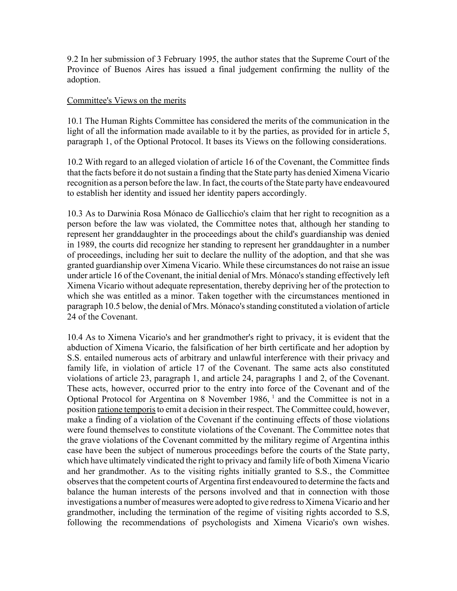9.2 In her submission of 3 February 1995, the author states that the Supreme Court of the Province of Buenos Aires has issued a final judgement confirming the nullity of the adoption.

#### Committee's Views on the merits

10.1 The Human Rights Committee has considered the merits of the communication in the light of all the information made available to it by the parties, as provided for in article 5, paragraph 1, of the Optional Protocol. It bases its Views on the following considerations.

10.2 With regard to an alleged violation of article 16 of the Covenant, the Committee finds that the facts before it do not sustain a finding that the State party has denied Ximena Vicario recognition as a person before the law. In fact, the courts of the State party have endeavoured to establish her identity and issued her identity papers accordingly.

10.3 As to Darwinia Rosa Mónaco de Gallicchio's claim that her right to recognition as a person before the law was violated, the Committee notes that, although her standing to represent her granddaughter in the proceedings about the child's guardianship was denied in 1989, the courts did recognize her standing to represent her granddaughter in a number of proceedings, including her suit to declare the nullity of the adoption, and that she was granted guardianship over Ximena Vicario. While these circumstances do not raise an issue under article 16 of the Covenant, the initial denial of Mrs. Mónaco's standing effectively left Ximena Vicario without adequate representation, thereby depriving her of the protection to which she was entitled as a minor. Taken together with the circumstances mentioned in paragraph 10.5 below, the denial of Mrs. Mónaco's standing constituted a violation of article 24 of the Covenant.

10.4 As to Ximena Vicario's and her grandmother's right to privacy, it is evident that the abduction of Ximena Vicario, the falsification of her birth certificate and her adoption by S.S. entailed numerous acts of arbitrary and unlawful interference with their privacy and family life, in violation of article 17 of the Covenant. The same acts also constituted violations of article 23, paragraph 1, and article 24, paragraphs 1 and 2, of the Covenant. These acts, however, occurred prior to the entry into force of the Covenant and of the Optional Protocol for Argentina on 8 November 1986,  $\frac{1}{1}$  and the Committee is not in a position ratione temporis to emit a decision in their respect. The Committee could, however, make a finding of a violation of the Covenant if the continuing effects of those violations were found themselves to constitute violations of the Covenant. The Committee notes that the grave violations of the Covenant committed by the military regime of Argentina inthis case have been the subject of numerous proceedings before the courts of the State party, which have ultimately vindicated the right to privacy and family life of both Ximena Vicario and her grandmother. As to the visiting rights initially granted to S.S., the Committee observes that the competent courts of Argentina first endeavoured to determine the facts and balance the human interests of the persons involved and that in connection with those investigations a number of measures were adopted to give redress to Ximena Vicario and her grandmother, including the termination of the regime of visiting rights accorded to S.S, following the recommendations of psychologists and Ximena Vicario's own wishes.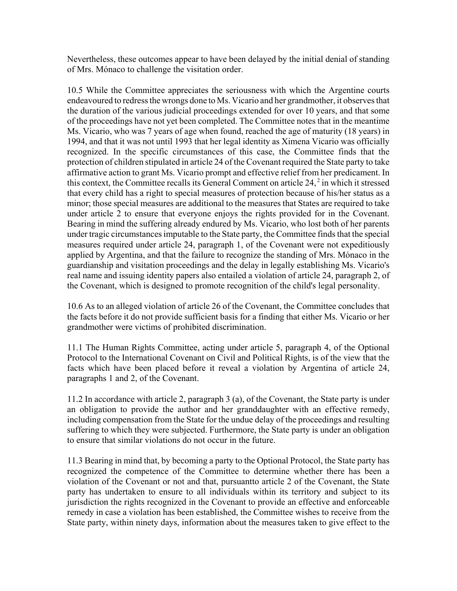Nevertheless, these outcomes appear to have been delayed by the initial denial of standing of Mrs. Mónaco to challenge the visitation order.

10.5 While the Committee appreciates the seriousness with which the Argentine courts endeavoured to redress the wrongs done to Ms. Vicario and her grandmother, it observes that the duration of the various judicial proceedings extended for over 10 years, and that some of the proceedings have not yet been completed. The Committee notes that in the meantime Ms. Vicario, who was 7 years of age when found, reached the age of maturity (18 years) in 1994, and that it was not until 1993 that her legal identity as Ximena Vicario was officially recognized. In the specific circumstances of this case, the Committee finds that the protection of children stipulated in article 24 of the Covenant required the State party to take affirmative action to grant Ms. Vicario prompt and effective relief from her predicament. In this context, the Committee recalls its General Comment on article 24, 2 in which it stressed that every child has a right to special measures of protection because of his/her status as a minor; those special measures are additional to the measures that States are required to take under article 2 to ensure that everyone enjoys the rights provided for in the Covenant. Bearing in mind the suffering already endured by Ms. Vicario, who lost both of her parents under tragic circumstances imputable to the State party, the Committee finds that the special measures required under article 24, paragraph 1, of the Covenant were not expeditiously applied by Argentina, and that the failure to recognize the standing of Mrs. Mónaco in the guardianship and visitation proceedings and the delay in legally establishing Ms. Vicario's real name and issuing identity papers also entailed a violation of article 24, paragraph 2, of the Covenant, which is designed to promote recognition of the child's legal personality.

10.6 As to an alleged violation of article 26 of the Covenant, the Committee concludes that the facts before it do not provide sufficient basis for a finding that either Ms. Vicario or her grandmother were victims of prohibited discrimination.

11.1 The Human Rights Committee, acting under article 5, paragraph 4, of the Optional Protocol to the International Covenant on Civil and Political Rights, is of the view that the facts which have been placed before it reveal a violation by Argentina of article 24, paragraphs 1 and 2, of the Covenant.

11.2 In accordance with article 2, paragraph 3 (a), of the Covenant, the State party is under an obligation to provide the author and her granddaughter with an effective remedy, including compensation from the State for the undue delay of the proceedings and resulting suffering to which they were subjected. Furthermore, the State party is under an obligation to ensure that similar violations do not occur in the future.

11.3 Bearing in mind that, by becoming a party to the Optional Protocol, the State party has recognized the competence of the Committee to determine whether there has been a violation of the Covenant or not and that, pursuantto article 2 of the Covenant, the State party has undertaken to ensure to all individuals within its territory and subject to its jurisdiction the rights recognized in the Covenant to provide an effective and enforceable remedy in case a violation has been established, the Committee wishes to receive from the State party, within ninety days, information about the measures taken to give effect to the